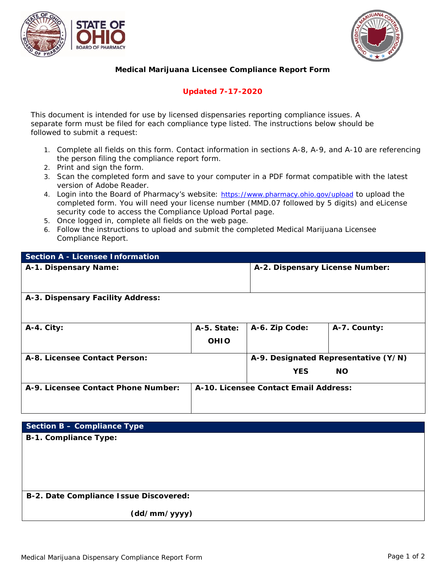



## **Medical Marijuana Licensee Compliance Report Form**

## **Updated 7-17-2020**

*This document is intended for use by licensed dispensaries reporting compliance issues. A separate form must be filed for each compliance type listed. The instructions below should be followed to submit a request:*

- 1. Complete all fields on this form. Contact information in sections A-8, A-9, and A-10 are referencing the person filing the compliance report form.
- 2. Print and sign the form.
- 3. Scan the completed form and save to your computer in a PDF format compatible with the latest version of Adobe Reader.
- 4. Login into the Board of Pharmacy's website: <https://www.pharmacy.ohio.gov/upload> to upload the completed form. You will need your license number (MMD.07 followed by 5 digits) and eLicense security code to access the Compliance Upload Portal page.
- 5. Once logged in, complete all fields on the web page.
- 6. Follow the instructions to upload and submit the completed Medical Marijuana Licensee Compliance Report.

| <b>Section A - Licensee Information</b> |             |                                       |              |
|-----------------------------------------|-------------|---------------------------------------|--------------|
| A-1. Dispensary Name:                   |             | A-2. Dispensary License Number:       |              |
| A-3. Dispensary Facility Address:       |             |                                       |              |
| A-4. City:                              | A-5. State: | A-6. Zip Code:                        | A-7. County: |
|                                         | <b>OHIO</b> |                                       |              |
| A-8. Licensee Contact Person:           |             | A-9. Designated Representative (Y/N)  |              |
|                                         |             | <b>YES</b>                            | <b>NO</b>    |
| A-9. Licensee Contact Phone Number:     |             | A-10. Licensee Contact Email Address: |              |

| Section B - Compliance Type            |
|----------------------------------------|
| <b>B-1. Compliance Type:</b>           |
|                                        |
|                                        |
|                                        |
|                                        |
| B-2. Date Compliance Issue Discovered: |
| (dd/mm/yyyy)                           |